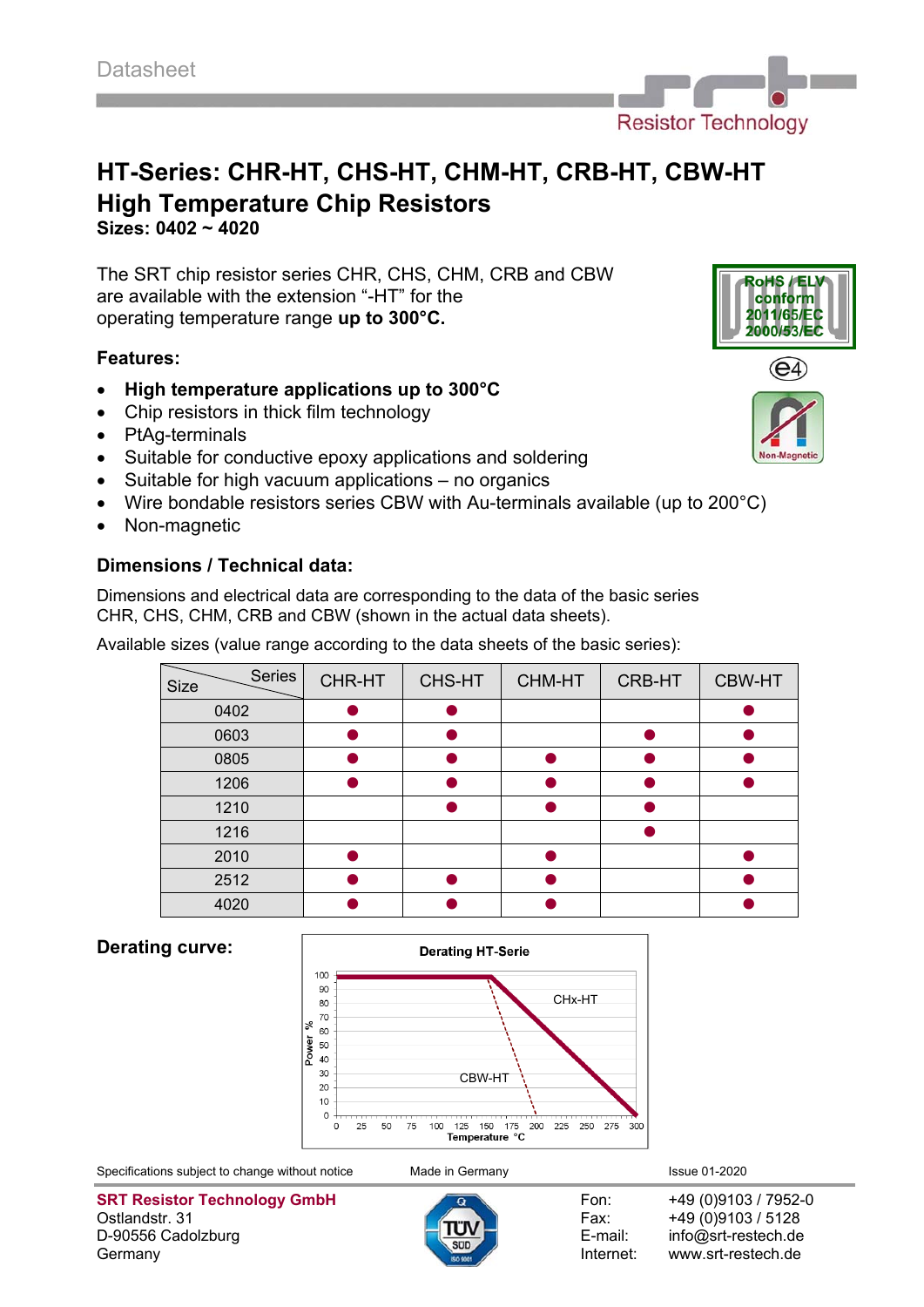

**Sizes: 0402 ~ 4020**

The SRT chip resistor series CHR, CHS, CHM, CRB and CBW are available with the extension "-HT" for the operating temperature range **up to 300°C.**

# **Features:**

- **High temperature applications up to 300°C**
- Chip resistors in thick film technology
- PtAg-terminals
- Suitable for conductive epoxy applications and soldering
- $\bullet$  Suitable for high vacuum applications no organics
- Wire bondable resistors series CBW with Au-terminals available (up to 200°C)
- Non-magnetic

# **Dimensions / Technical data:**

Dimensions and electrical data are corresponding to the data of the basic series CHR, CHS, CHM, CRB and CBW (shown in the actual data sheets).

Available sizes (value range according to the data sheets of the basic series):

| Series<br>Size | CHR-HT | CHS-HT | CHM-HT | CRB-HT | <b>CBW-HT</b> |
|----------------|--------|--------|--------|--------|---------------|
| 0402           |        |        |        |        |               |
| 0603           |        |        |        |        |               |
| 0805           |        |        |        |        |               |
| 1206           |        |        |        |        |               |
| 1210           |        |        |        |        |               |
| 1216           |        |        |        |        |               |
| 2010           |        |        |        |        |               |
| 2512           |        |        |        |        |               |
| 4020           |        |        |        |        |               |

### **Derating curve:**



Specifications subject to change without notice Made in Germany **Issue 01-2020** Issue 01-2020

**SRT Resistor Technology GmbH** Fon: +49 (0)9103 / 7952-0 Ostlandstr. 31 **Fax:** +49 (0)9103 / 5128 D-90556 Cadolzburg **E-mail:** info@srt-restech.de Germany **Internet:** www.srt-restech.de







**oHS** 

/EL) conform